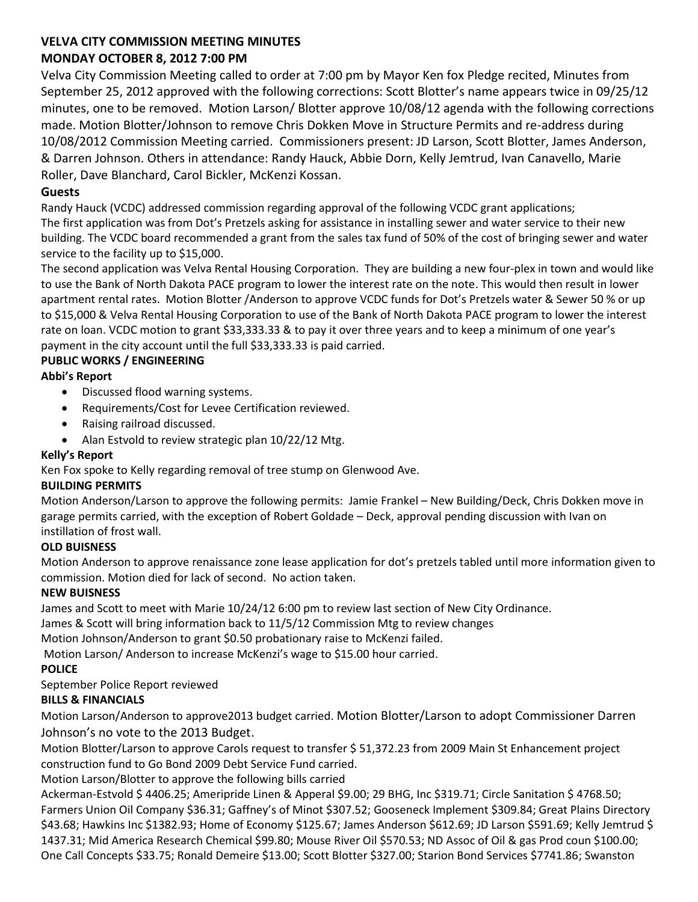# **VELVA CITY COMMISSION MEETING MINUTES MONDAY OCTOBER 8, 2012 7:00 PM**

Velva City Commission Meeting called to order at 7:00 pm by Mayor Ken fox Pledge recited, Minutes from September 25, 2012 approved with the following corrections: Scott Blotter's name appears twice in 09/25/12 minutes, one to be removed. Motion Larson/ Blotter approve 10/08/12 agenda with the following corrections made. Motion Blotter/Johnson to remove Chris Dokken Move in Structure Permits and re-address during 10/08/2012 Commission Meeting carried. Commissioners present: JD Larson, Scott Blotter, James Anderson, & Darren Johnson. Others in attendance: Randy Hauck, Abbie Dorn, Kelly Jemtrud, Ivan Canavello, Marie Roller, Dave Blanchard, Carol Bickler, McKenzi Kossan.

## **Guests**

Randy Hauck (VCDC) addressed commission regarding approval of the following VCDC grant applications; The first application was from Dot's Pretzels asking for assistance in installing sewer and water service to their new building. The VCDC board recommended a grant from the sales tax fund of 50% of the cost of bringing sewer and water service to the facility up to \$15,000.

The second application was Velva Rental Housing Corporation. They are building a new four-plex in town and would like to use the Bank of North Dakota PACE program to lower the interest rate on the note. This would then result in lower apartment rental rates. Motion Blotter /Anderson to approve VCDC funds for Dot's Pretzels water & Sewer 50 % or up to \$15,000 & Velva Rental Housing Corporation to use of the Bank of North Dakota PACE program to lower the interest rate on loan. VCDC motion to grant \$33,333.33 & to pay it over three years and to keep a minimum of one year's payment in the city account until the full \$33,333.33 is paid carried.

## **PUBLIC WORKS / ENGINEERING**

## **Abbi's Report**

- Discussed flood warning systems.
- Requirements/Cost for Levee Certification reviewed.
- Raising railroad discussed.
- Alan Estvold to review strategic plan 10/22/12 Mtg.

### **Kelly's Report**

Ken Fox spoke to Kelly regarding removal of tree stump on Glenwood Ave.

### **BUILDING PERMITS**

Motion Anderson/Larson to approve the following permits: Jamie Frankel – New Building/Deck, Chris Dokken move in garage permits carried, with the exception of Robert Goldade – Deck, approval pending discussion with Ivan on instillation of frost wall.

### **OLD BUISNESS**

Motion Anderson to approve renaissance zone lease application for dot's pretzels tabled until more information given to commission. Motion died for lack of second. No action taken.

### **NEW BUISNESS**

James and Scott to meet with Marie 10/24/12 6:00 pm to review last section of New City Ordinance.

James & Scott will bring information back to 11/5/12 Commission Mtg to review changes

Motion Johnson/Anderson to grant \$0.50 probationary raise to McKenzi failed.

Motion Larson/ Anderson to increase McKenzi's wage to \$15.00 hour carried.

### **POLICE**

September Police Report reviewed

### **BILLS & FINANCIALS**

Motion Larson/Anderson to approve2013 budget carried. Motion Blotter/Larson to adopt Commissioner Darren Johnson's no vote to the 2013 Budget.

Motion Blotter/Larson to approve Carols request to transfer \$ 51,372.23 from 2009 Main St Enhancement project construction fund to Go Bond 2009 Debt Service Fund carried.

Motion Larson/Blotter to approve the following bills carried

Ackerman-Estvold \$ 4406.25; Ameripride Linen & Apperal \$9.00; 29 BHG, Inc \$319.71; Circle Sanitation \$ 4768.50; Farmers Union Oil Company \$36.31; Gaffney's of Minot \$307.52; Gooseneck Implement \$309.84; Great Plains Directory \$43.68; Hawkins Inc \$1382.93; Home of Economy \$125.67; James Anderson \$612.69; JD Larson \$591.69; Kelly Jemtrud \$ 1437.31; Mid America Research Chemical \$99.80; Mouse River Oil \$570.53; ND Assoc of Oil & gas Prod coun \$100.00; One Call Concepts \$33.75; Ronald Demeire \$13.00; Scott Blotter \$327.00; Starion Bond Services \$7741.86; Swanston